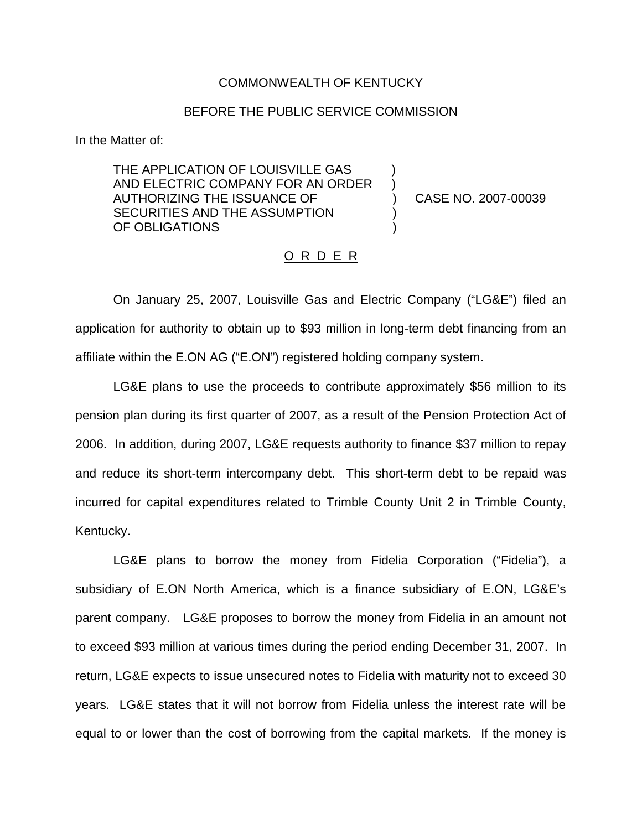## COMMONWEALTH OF KENTUCKY

## BEFORE THE PUBLIC SERVICE COMMISSION

In the Matter of:

THE APPLICATION OF LOUISVILLE GAS AND ELECTRIC COMPANY FOR AN ORDER AUTHORIZING THE ISSUANCE OF  $\qquad \qquad$  CASE NO. 2007-00039 SECURITIES AND THE ASSUMPTION OF OBLIGATIONS

## O R D E R

On January 25, 2007, Louisville Gas and Electric Company ("LG&E") filed an application for authority to obtain up to \$93 million in long-term debt financing from an affiliate within the E.ON AG ("E.ON") registered holding company system.

LG&E plans to use the proceeds to contribute approximately \$56 million to its pension plan during its first quarter of 2007, as a result of the Pension Protection Act of 2006. In addition, during 2007, LG&E requests authority to finance \$37 million to repay and reduce its short-term intercompany debt. This short-term debt to be repaid was incurred for capital expenditures related to Trimble County Unit 2 in Trimble County, Kentucky.

LG&E plans to borrow the money from Fidelia Corporation ("Fidelia"), a subsidiary of E.ON North America, which is a finance subsidiary of E.ON, LG&E's parent company. LG&E proposes to borrow the money from Fidelia in an amount not to exceed \$93 million at various times during the period ending December 31, 2007. In return, LG&E expects to issue unsecured notes to Fidelia with maturity not to exceed 30 years. LG&E states that it will not borrow from Fidelia unless the interest rate will be equal to or lower than the cost of borrowing from the capital markets. If the money is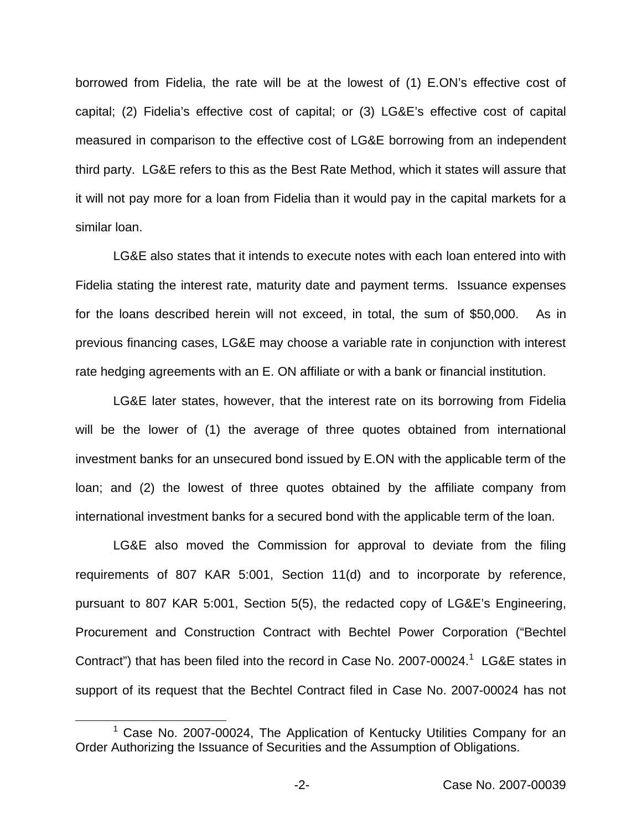borrowed from Fidelia, the rate will be at the lowest of (1) E.ON's effective cost of capital; (2) Fidelia's effective cost of capital; or (3) LG&E's effective cost of capital measured in comparison to the effective cost of LG&E borrowing from an independent third party. LG&E refers to this as the Best Rate Method, which it states will assure that it will not pay more for a loan from Fidelia than it would pay in the capital markets for a similar loan.

LG&E also states that it intends to execute notes with each loan entered into with Fidelia stating the interest rate, maturity date and payment terms. Issuance expenses for the loans described herein will not exceed, in total, the sum of \$50,000. As in previous financing cases, LG&E may choose a variable rate in conjunction with interest rate hedging agreements with an E. ON affiliate or with a bank or financial institution.

LG&E later states, however, that the interest rate on its borrowing from Fidelia will be the lower of (1) the average of three quotes obtained from international investment banks for an unsecured bond issued by E.ON with the applicable term of the loan; and (2) the lowest of three quotes obtained by the affiliate company from international investment banks for a secured bond with the applicable term of the loan.

LG&E also moved the Commission for approval to deviate from the filing requirements of 807 KAR 5:001, Section 11(d) and to incorporate by reference, pursuant to 807 KAR 5:001, Section 5(5), the redacted copy of LG&E's Engineering, Procurement and Construction Contract with Bechtel Power Corporation ("Bechtel Contract") that has been filed into the record in Case No. 2007-00024.<sup>1</sup> LG&E states in support of its request that the Bechtel Contract filed in Case No. 2007-00024 has not

 $1$  Case No. 2007-00024, The Application of Kentucky Utilities Company for an Order Authorizing the Issuance of Securities and the Assumption of Obligations.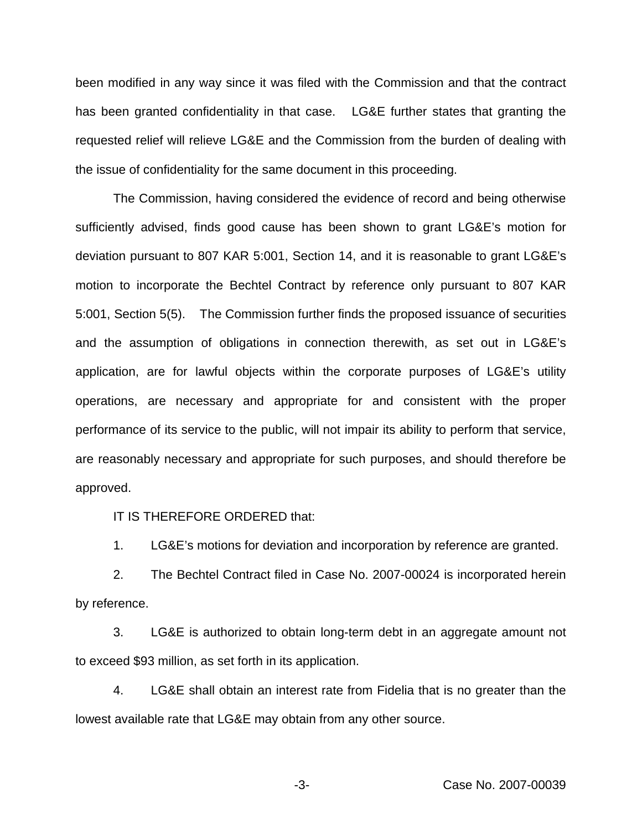been modified in any way since it was filed with the Commission and that the contract has been granted confidentiality in that case. LG&E further states that granting the requested relief will relieve LG&E and the Commission from the burden of dealing with the issue of confidentiality for the same document in this proceeding.

The Commission, having considered the evidence of record and being otherwise sufficiently advised, finds good cause has been shown to grant LG&E's motion for deviation pursuant to 807 KAR 5:001, Section 14, and it is reasonable to grant LG&E's motion to incorporate the Bechtel Contract by reference only pursuant to 807 KAR 5:001, Section 5(5). The Commission further finds the proposed issuance of securities and the assumption of obligations in connection therewith, as set out in LG&E's application, are for lawful objects within the corporate purposes of LG&E's utility operations, are necessary and appropriate for and consistent with the proper performance of its service to the public, will not impair its ability to perform that service, are reasonably necessary and appropriate for such purposes, and should therefore be approved.

IT IS THEREFORE ORDERED that:

1. LG&E's motions for deviation and incorporation by reference are granted.

2. The Bechtel Contract filed in Case No. 2007-00024 is incorporated herein by reference.

3. LG&E is authorized to obtain long-term debt in an aggregate amount not to exceed \$93 million, as set forth in its application.

4. LG&E shall obtain an interest rate from Fidelia that is no greater than the lowest available rate that LG&E may obtain from any other source.